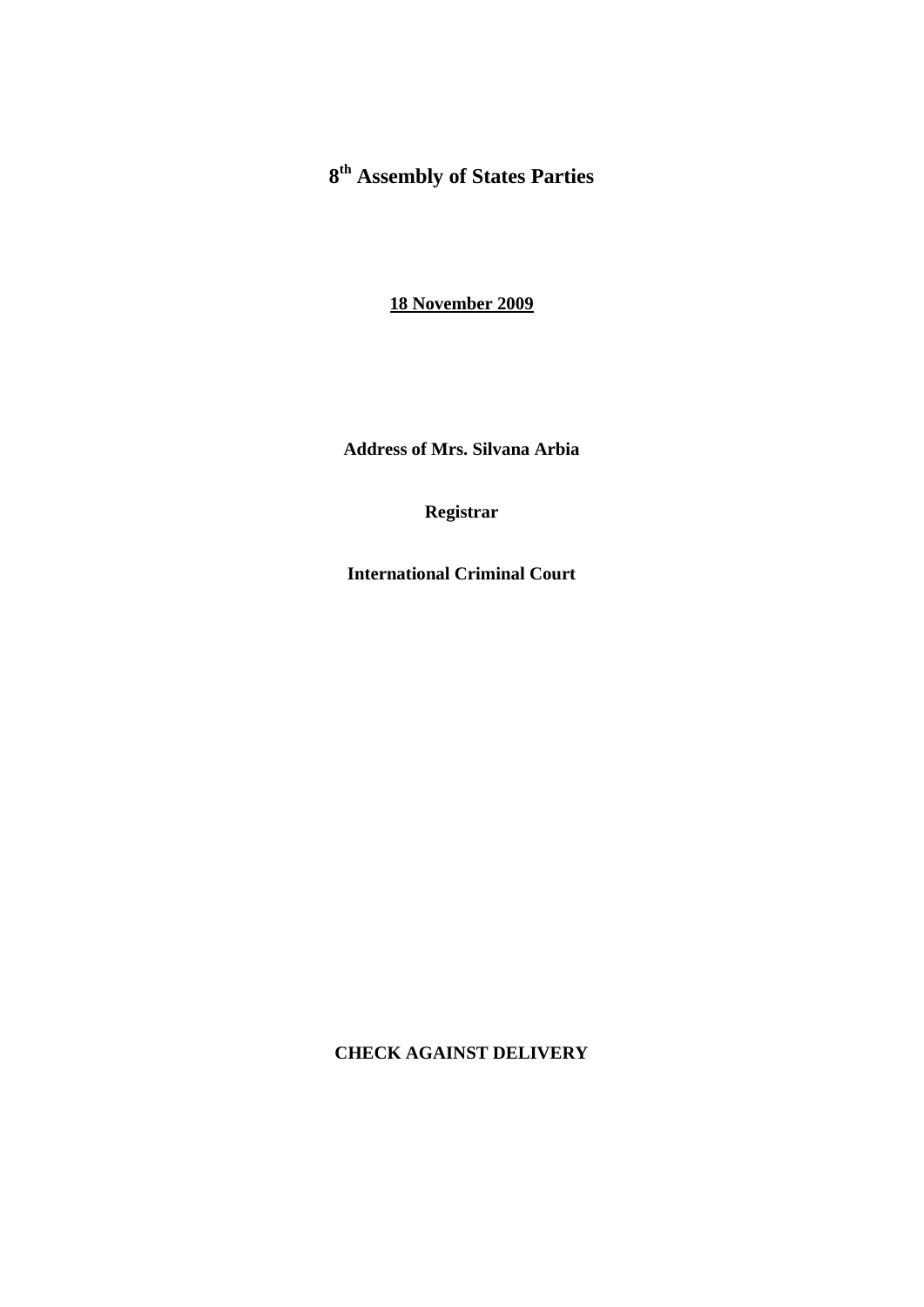# **8th Assembly of States Parties**

**18 November 2009**

**Address of Mrs. Silvana Arbia** 

**Registrar** 

**International Criminal Court** 

**CHECK AGAINST DELIVERY**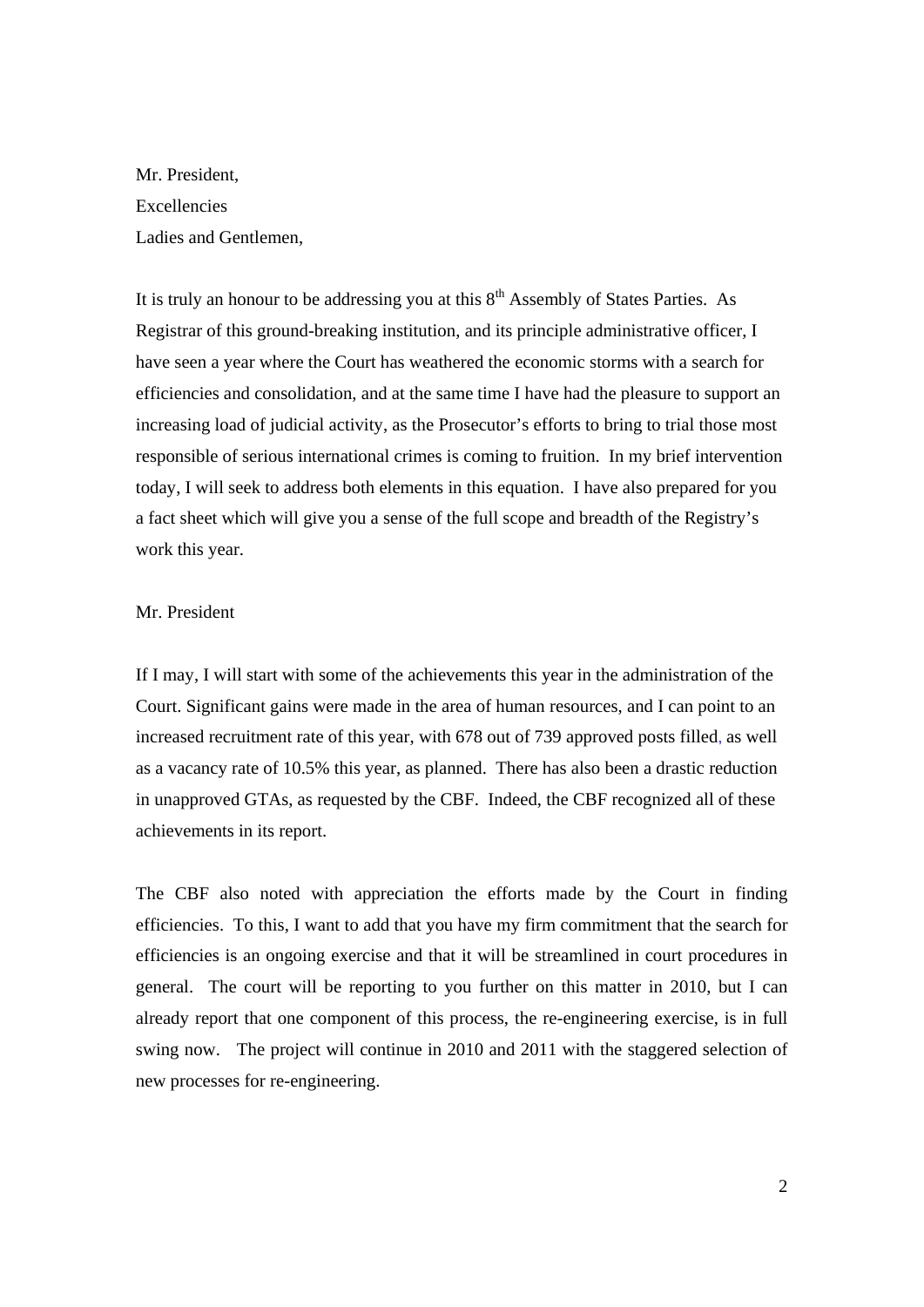Mr. President, **Excellencies** Ladies and Gentlemen,

It is truly an honour to be addressing you at this  $8<sup>th</sup>$  Assembly of States Parties. As Registrar of this ground-breaking institution, and its principle administrative officer, I have seen a year where the Court has weathered the economic storms with a search for efficiencies and consolidation, and at the same time I have had the pleasure to support an increasing load of judicial activity, as the Prosecutor's efforts to bring to trial those most responsible of serious international crimes is coming to fruition. In my brief intervention today, I will seek to address both elements in this equation. I have also prepared for you a fact sheet which will give you a sense of the full scope and breadth of the Registry's work this year.

# Mr. President

If I may, I will start with some of the achievements this year in the administration of the Court. Significant gains were made in the area of human resources, and I can point to an increased recruitment rate of this year, with 678 out of 739 approved posts filled, as well as a vacancy rate of 10.5% this year, as planned. There has also been a drastic reduction in unapproved GTAs, as requested by the CBF. Indeed, the CBF recognized all of these achievements in its report.

The CBF also noted with appreciation the efforts made by the Court in finding efficiencies. To this, I want to add that you have my firm commitment that the search for efficiencies is an ongoing exercise and that it will be streamlined in court procedures in general. The court will be reporting to you further on this matter in 2010, but I can already report that one component of this process, the re-engineering exercise, is in full swing now. The project will continue in 2010 and 2011 with the staggered selection of new processes for re-engineering.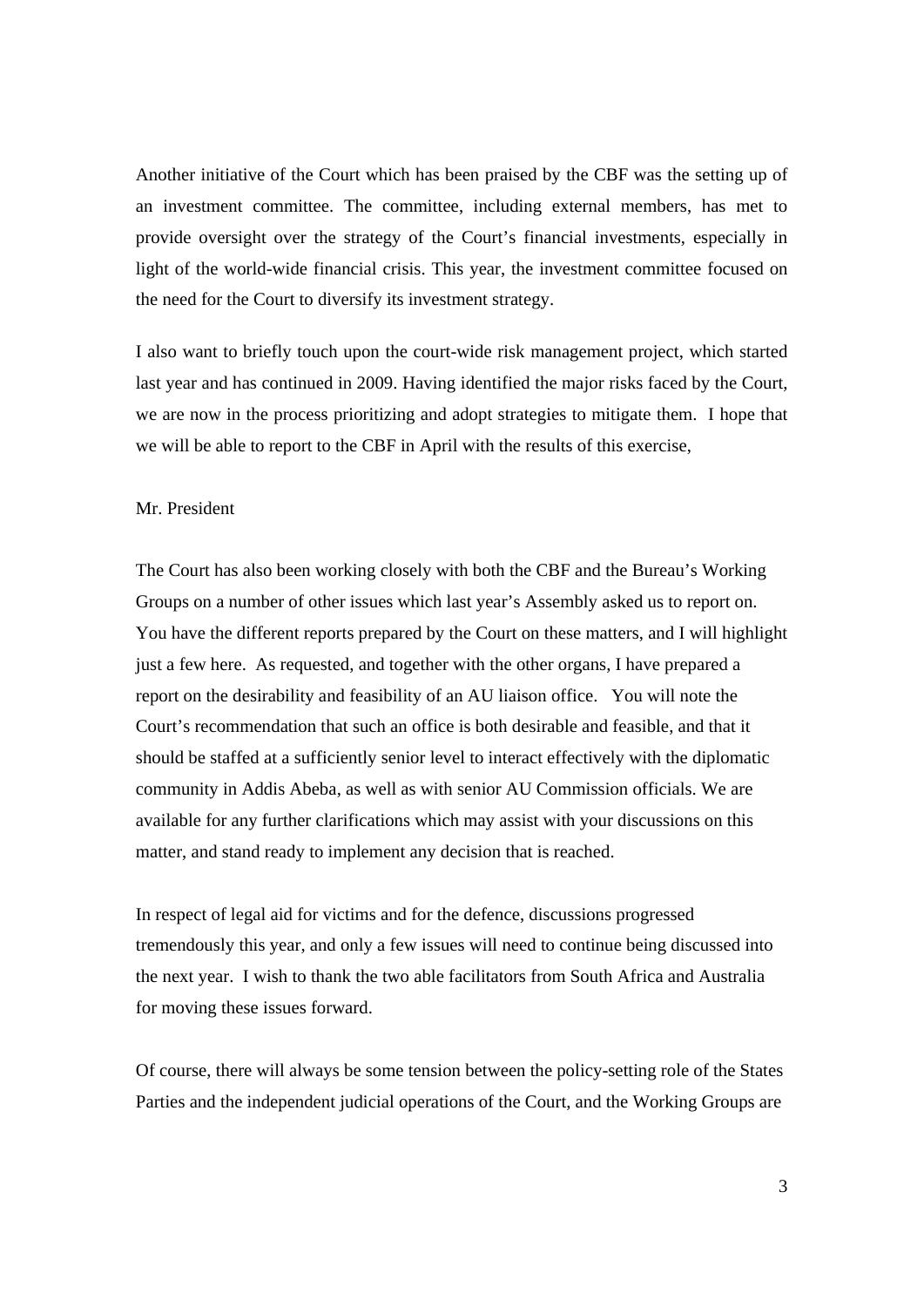Another initiative of the Court which has been praised by the CBF was the setting up of an investment committee. The committee, including external members, has met to provide oversight over the strategy of the Court's financial investments, especially in light of the world-wide financial crisis. This year, the investment committee focused on the need for the Court to diversify its investment strategy.

I also want to briefly touch upon the court-wide risk management project, which started last year and has continued in 2009. Having identified the major risks faced by the Court, we are now in the process prioritizing and adopt strategies to mitigate them. I hope that we will be able to report to the CBF in April with the results of this exercise,

## Mr. President

The Court has also been working closely with both the CBF and the Bureau's Working Groups on a number of other issues which last year's Assembly asked us to report on. You have the different reports prepared by the Court on these matters, and I will highlight just a few here. As requested, and together with the other organs, I have prepared a report on the desirability and feasibility of an AU liaison office. You will note the Court's recommendation that such an office is both desirable and feasible, and that it should be staffed at a sufficiently senior level to interact effectively with the diplomatic community in Addis Abeba, as well as with senior AU Commission officials. We are available for any further clarifications which may assist with your discussions on this matter, and stand ready to implement any decision that is reached.

In respect of legal aid for victims and for the defence, discussions progressed tremendously this year, and only a few issues will need to continue being discussed into the next year. I wish to thank the two able facilitators from South Africa and Australia for moving these issues forward.

Of course, there will always be some tension between the policy-setting role of the States Parties and the independent judicial operations of the Court, and the Working Groups are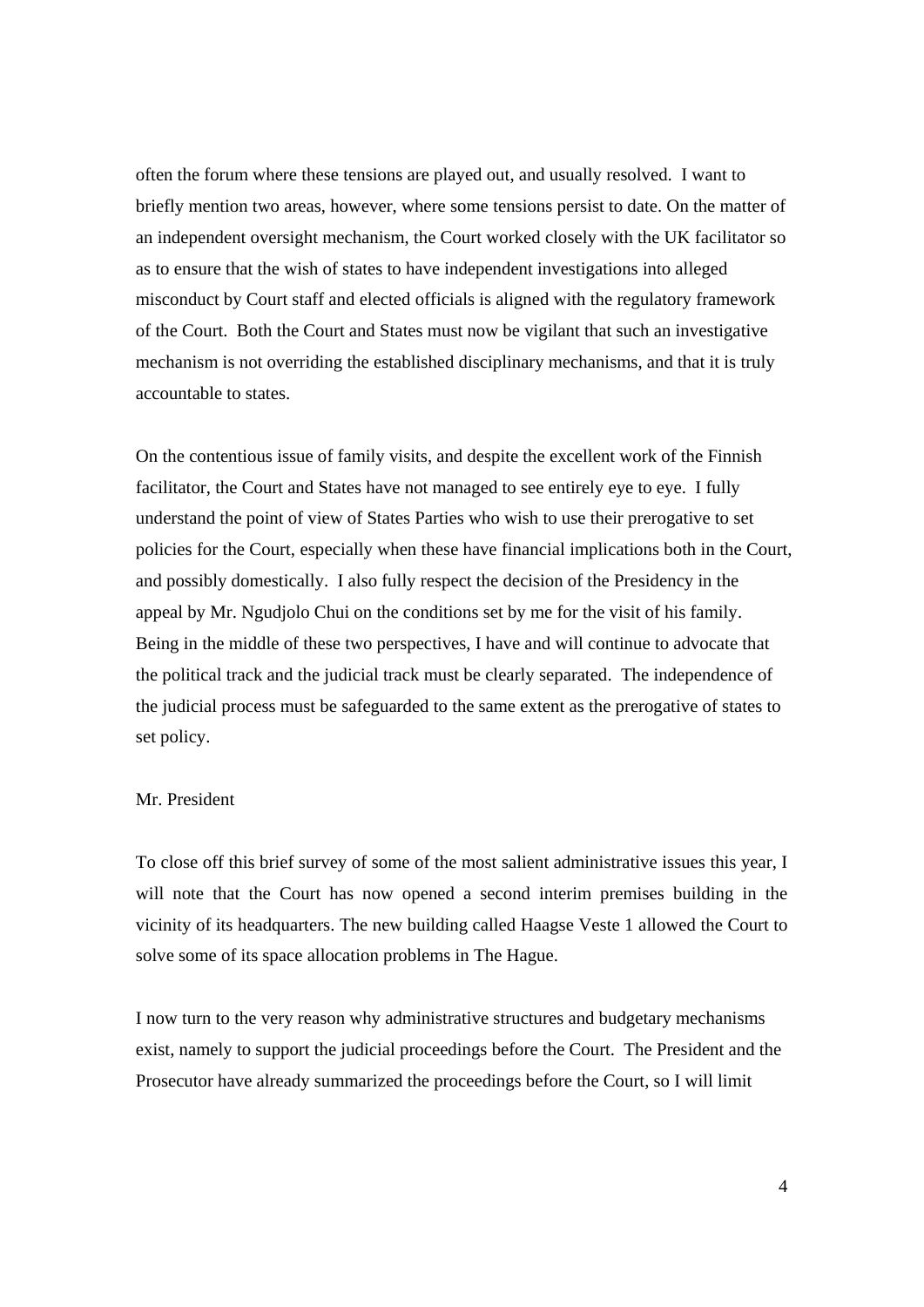often the forum where these tensions are played out, and usually resolved. I want to briefly mention two areas, however, where some tensions persist to date. On the matter of an independent oversight mechanism, the Court worked closely with the UK facilitator so as to ensure that the wish of states to have independent investigations into alleged misconduct by Court staff and elected officials is aligned with the regulatory framework of the Court. Both the Court and States must now be vigilant that such an investigative mechanism is not overriding the established disciplinary mechanisms, and that it is truly accountable to states.

On the contentious issue of family visits, and despite the excellent work of the Finnish facilitator, the Court and States have not managed to see entirely eye to eye. I fully understand the point of view of States Parties who wish to use their prerogative to set policies for the Court, especially when these have financial implications both in the Court, and possibly domestically. I also fully respect the decision of the Presidency in the appeal by Mr. Ngudjolo Chui on the conditions set by me for the visit of his family. Being in the middle of these two perspectives, I have and will continue to advocate that the political track and the judicial track must be clearly separated. The independence of the judicial process must be safeguarded to the same extent as the prerogative of states to set policy.

#### Mr. President

To close off this brief survey of some of the most salient administrative issues this year, I will note that the Court has now opened a second interim premises building in the vicinity of its headquarters. The new building called Haagse Veste 1 allowed the Court to solve some of its space allocation problems in The Hague.

I now turn to the very reason why administrative structures and budgetary mechanisms exist, namely to support the judicial proceedings before the Court. The President and the Prosecutor have already summarized the proceedings before the Court, so I will limit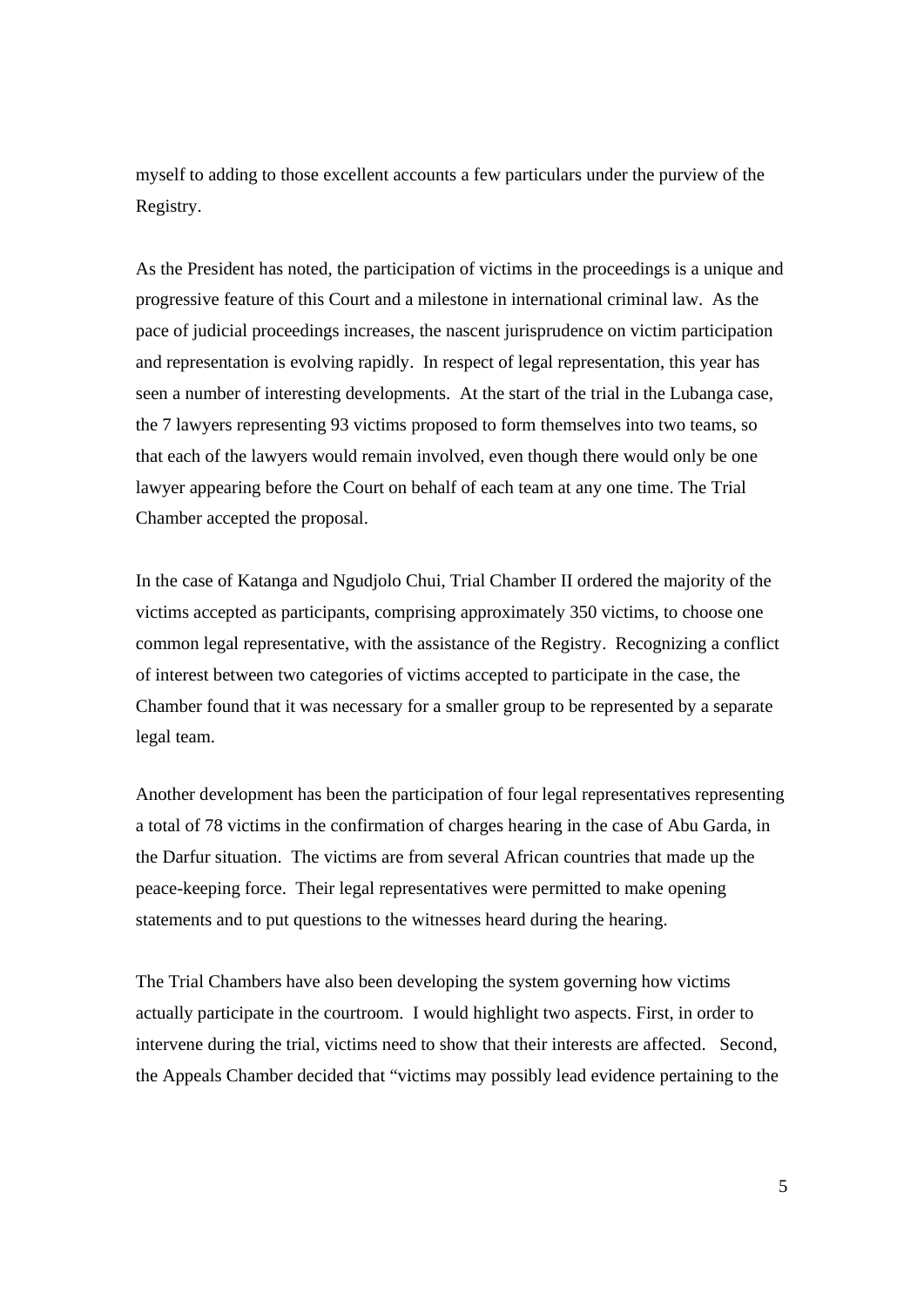myself to adding to those excellent accounts a few particulars under the purview of the Registry.

As the President has noted, the participation of victims in the proceedings is a unique and progressive feature of this Court and a milestone in international criminal law. As the pace of judicial proceedings increases, the nascent jurisprudence on victim participation and representation is evolving rapidly. In respect of legal representation, this year has seen a number of interesting developments. At the start of the trial in the Lubanga case, the 7 lawyers representing 93 victims proposed to form themselves into two teams, so that each of the lawyers would remain involved, even though there would only be one lawyer appearing before the Court on behalf of each team at any one time. The Trial Chamber accepted the proposal.

In the case of Katanga and Ngudjolo Chui, Trial Chamber II ordered the majority of the victims accepted as participants, comprising approximately 350 victims, to choose one common legal representative, with the assistance of the Registry. Recognizing a conflict of interest between two categories of victims accepted to participate in the case, the Chamber found that it was necessary for a smaller group to be represented by a separate legal team.

Another development has been the participation of four legal representatives representing a total of 78 victims in the confirmation of charges hearing in the case of Abu Garda, in the Darfur situation. The victims are from several African countries that made up the peace-keeping force. Their legal representatives were permitted to make opening statements and to put questions to the witnesses heard during the hearing.

The Trial Chambers have also been developing the system governing how victims actually participate in the courtroom. I would highlight two aspects. First, in order to intervene during the trial, victims need to show that their interests are affected. Second, the Appeals Chamber decided that "victims may possibly lead evidence pertaining to the

5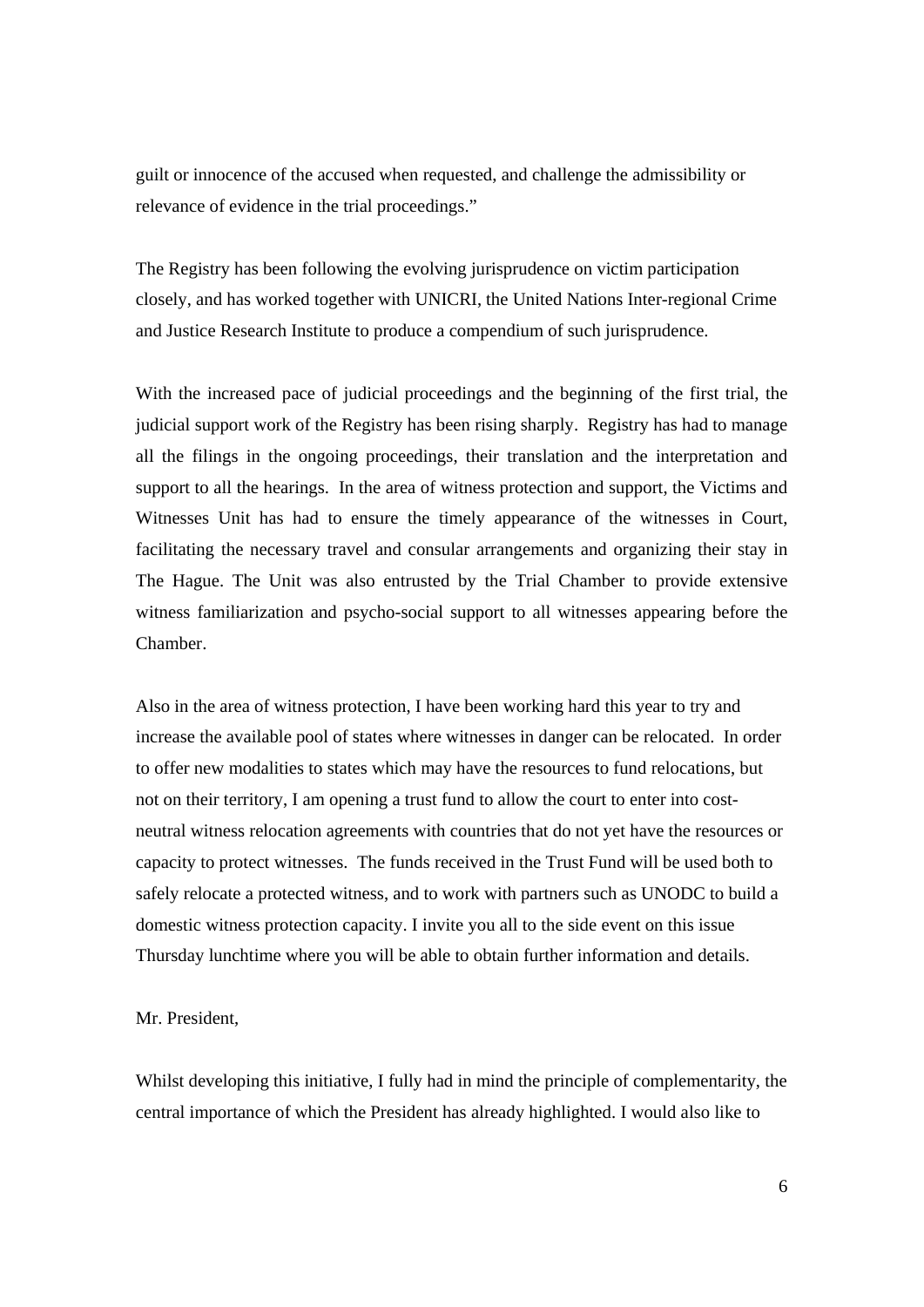guilt or innocence of the accused when requested, and challenge the admissibility or relevance of evidence in the trial proceedings."

The Registry has been following the evolving jurisprudence on victim participation closely, and has worked together with UNICRI, the United Nations Inter-regional Crime and Justice Research Institute to produce a compendium of such jurisprudence.

With the increased pace of judicial proceedings and the beginning of the first trial, the judicial support work of the Registry has been rising sharply. Registry has had to manage all the filings in the ongoing proceedings, their translation and the interpretation and support to all the hearings. In the area of witness protection and support, the Victims and Witnesses Unit has had to ensure the timely appearance of the witnesses in Court, facilitating the necessary travel and consular arrangements and organizing their stay in The Hague. The Unit was also entrusted by the Trial Chamber to provide extensive witness familiarization and psycho-social support to all witnesses appearing before the Chamber.

Also in the area of witness protection, I have been working hard this year to try and increase the available pool of states where witnesses in danger can be relocated. In order to offer new modalities to states which may have the resources to fund relocations, but not on their territory, I am opening a trust fund to allow the court to enter into costneutral witness relocation agreements with countries that do not yet have the resources or capacity to protect witnesses. The funds received in the Trust Fund will be used both to safely relocate a protected witness, and to work with partners such as UNODC to build a domestic witness protection capacity. I invite you all to the side event on this issue Thursday lunchtime where you will be able to obtain further information and details.

## Mr. President,

Whilst developing this initiative, I fully had in mind the principle of complementarity, the central importance of which the President has already highlighted. I would also like to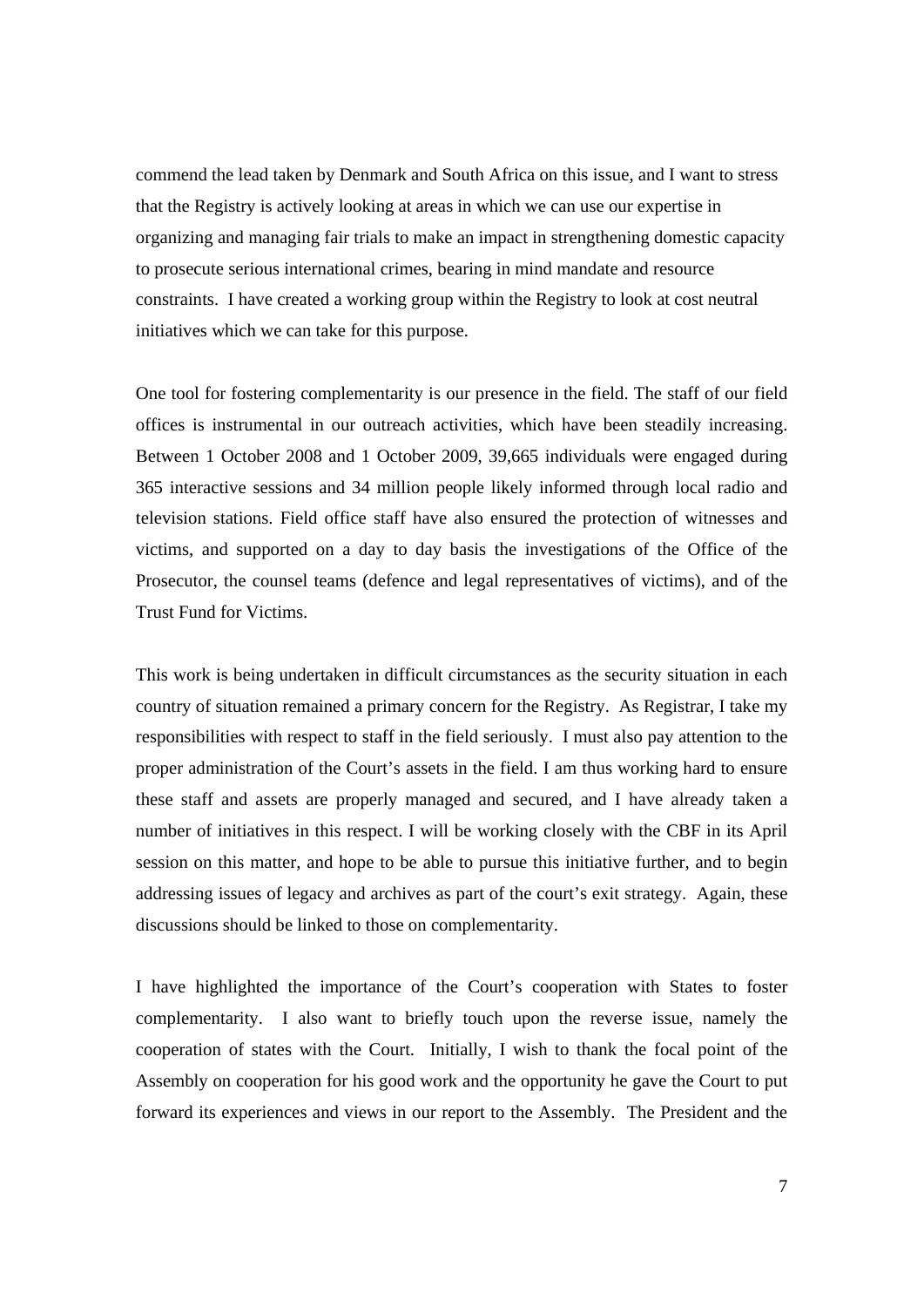commend the lead taken by Denmark and South Africa on this issue, and I want to stress that the Registry is actively looking at areas in which we can use our expertise in organizing and managing fair trials to make an impact in strengthening domestic capacity to prosecute serious international crimes, bearing in mind mandate and resource constraints. I have created a working group within the Registry to look at cost neutral initiatives which we can take for this purpose.

One tool for fostering complementarity is our presence in the field. The staff of our field offices is instrumental in our outreach activities, which have been steadily increasing. Between 1 October 2008 and 1 October 2009, 39,665 individuals were engaged during 365 interactive sessions and 34 million people likely informed through local radio and television stations. Field office staff have also ensured the protection of witnesses and victims, and supported on a day to day basis the investigations of the Office of the Prosecutor, the counsel teams (defence and legal representatives of victims), and of the Trust Fund for Victims.

This work is being undertaken in difficult circumstances as the security situation in each country of situation remained a primary concern for the Registry. As Registrar, I take my responsibilities with respect to staff in the field seriously. I must also pay attention to the proper administration of the Court's assets in the field. I am thus working hard to ensure these staff and assets are properly managed and secured, and I have already taken a number of initiatives in this respect. I will be working closely with the CBF in its April session on this matter, and hope to be able to pursue this initiative further, and to begin addressing issues of legacy and archives as part of the court's exit strategy. Again, these discussions should be linked to those on complementarity.

I have highlighted the importance of the Court's cooperation with States to foster complementarity. I also want to briefly touch upon the reverse issue, namely the cooperation of states with the Court. Initially, I wish to thank the focal point of the Assembly on cooperation for his good work and the opportunity he gave the Court to put forward its experiences and views in our report to the Assembly. The President and the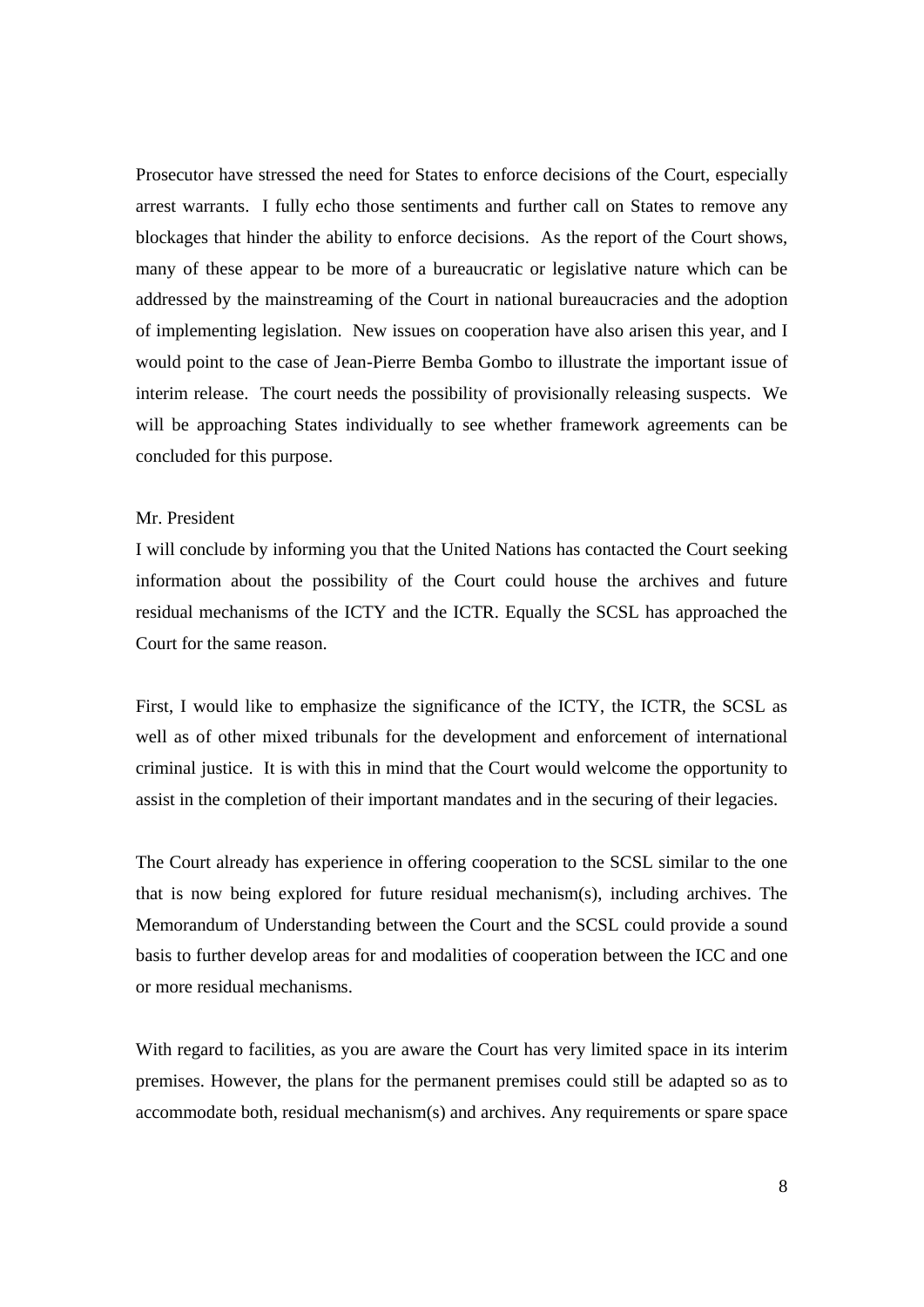Prosecutor have stressed the need for States to enforce decisions of the Court, especially arrest warrants. I fully echo those sentiments and further call on States to remove any blockages that hinder the ability to enforce decisions. As the report of the Court shows, many of these appear to be more of a bureaucratic or legislative nature which can be addressed by the mainstreaming of the Court in national bureaucracies and the adoption of implementing legislation. New issues on cooperation have also arisen this year, and I would point to the case of Jean-Pierre Bemba Gombo to illustrate the important issue of interim release. The court needs the possibility of provisionally releasing suspects. We will be approaching States individually to see whether framework agreements can be concluded for this purpose.

# Mr. President

I will conclude by informing you that the United Nations has contacted the Court seeking information about the possibility of the Court could house the archives and future residual mechanisms of the ICTY and the ICTR. Equally the SCSL has approached the Court for the same reason.

First, I would like to emphasize the significance of the ICTY, the ICTR, the SCSL as well as of other mixed tribunals for the development and enforcement of international criminal justice. It is with this in mind that the Court would welcome the opportunity to assist in the completion of their important mandates and in the securing of their legacies.

The Court already has experience in offering cooperation to the SCSL similar to the one that is now being explored for future residual mechanism(s), including archives. The Memorandum of Understanding between the Court and the SCSL could provide a sound basis to further develop areas for and modalities of cooperation between the ICC and one or more residual mechanisms.

With regard to facilities, as you are aware the Court has very limited space in its interim premises. However, the plans for the permanent premises could still be adapted so as to accommodate both, residual mechanism(s) and archives. Any requirements or spare space